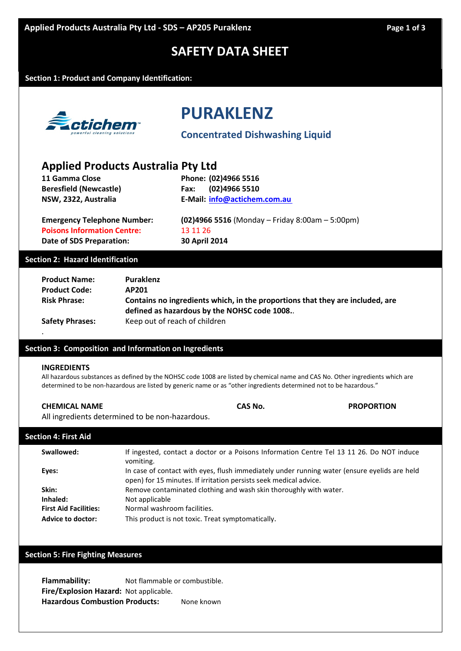#### **Section 1: Product and Company Identification:**



# **PURAKLENZ**

**Concentrated Dishwashing Liquid**

# **Applied Products Australia Pty Ltd**

**11 Gamma Close Phone: (02)4966 5516 Beresfield (Newcastle) Fax: (02)4966 5510**

**NSW, 2322, Australia E-Mail: [info@actichem.com.au](mailto:info@actichem.com.au)**

**Poisons Information Centre:** 13 11 26 **Date of SDS Preparation: 30 April 2014**

**Emergency Telephone Number: (02)4966 5516** (Monday – Friday 8:00am – 5:00pm)

# **Section 2: Hazard Identification**

| <b>Product Name:</b>   | <b>Puraklenz</b>                                                                                                             |
|------------------------|------------------------------------------------------------------------------------------------------------------------------|
| <b>Product Code:</b>   | AP201                                                                                                                        |
| <b>Risk Phrase:</b>    | Contains no ingredients which, in the proportions that they are included, are<br>defined as hazardous by the NOHSC code 1008 |
| <b>Safety Phrases:</b> | Keep out of reach of children                                                                                                |
|                        |                                                                                                                              |

### **Section 3: Composition and Information on Ingredients**

### **INGREDIENTS**

All hazardous substances as defined by the NOHSC code 1008 are listed by chemical name and CAS No. Other ingredients which are determined to be non-hazardous are listed by generic name or as "other ingredients determined not to be hazardous."

# **CHEMICAL NAME CAS No. PROPORTION**

All ingredients determined to be non-hazardous.

### **Section 4: First Aid**

| Swallowed:                   | If ingested, contact a doctor or a Poisons Information Centre Tel 13 11 26. Do NOT induce<br>vomiting.                                                            |
|------------------------------|-------------------------------------------------------------------------------------------------------------------------------------------------------------------|
| Eyes:                        | In case of contact with eyes, flush immediately under running water (ensure eyelids are held<br>open) for 15 minutes. If irritation persists seek medical advice. |
| Skin:                        | Remove contaminated clothing and wash skin thoroughly with water.                                                                                                 |
| Inhaled:                     | Not applicable                                                                                                                                                    |
| <b>First Aid Facilities:</b> | Normal washroom facilities.                                                                                                                                       |
| <b>Advice to doctor:</b>     | This product is not toxic. Treat symptomatically.                                                                                                                 |

# **Section 5: Fire Fighting Measures**

**Flammability:** Not flammable or combustible. **Fire/Explosion Hazard:** Not applicable. **Hazardous Combustion Products:** None known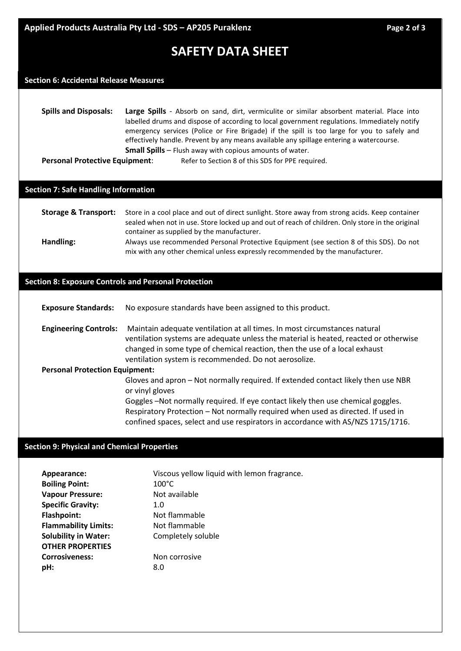## **Section 6: Accidental Release Measures**

**Spills and Disposals: Large Spills** - Absorb on sand, dirt, vermiculite or similar absorbent material. Place into labelled drums and dispose of according to local government regulations. Immediately notify emergency services (Police or Fire Brigade) if the spill is too large for you to safely and effectively handle. Prevent by any means available any spillage entering a watercourse. **Small Spills** – Flush away with copious amounts of water. **Personal Protective Equipment:** Refer to Section 8 of this SDS for PPE required.

### **Section 7: Safe Handling Information**

### **Storage & Transport:** Store in a cool place and out of direct sunlight. Store away from strong acids. Keep container sealed when not in use. Store locked up and out of reach of children. Only store in the original container as supplied by the manufacturer. **Handling:** Always use recommended Personal Protective Equipment (see section 8 of this SDS). Do not

# mix with any other chemical unless expressly recommended by the manufacturer.

### **Section 8: Exposure Controls and Personal Protection**

| <b>Exposure Standards:</b> | No exposure standards have been assigned to this product. |  |
|----------------------------|-----------------------------------------------------------|--|
|----------------------------|-----------------------------------------------------------|--|

**Engineering Controls:** Maintain adequate ventilation at all times. In most circumstances natural ventilation systems are adequate unless the material is heated, reacted or otherwise changed in some type of chemical reaction, then the use of a local exhaust ventilation system is recommended. Do not aerosolize.

#### **Personal Protection Equipment:**

Gloves and apron – Not normally required. If extended contact likely then use NBR or vinyl gloves

Goggles –Not normally required. If eye contact likely then use chemical goggles. Respiratory Protection – Not normally required when used as directed. If used in confined spaces, select and use respirators in accordance with AS/NZS 1715/1716.

# **Section 9: Physical and Chemical Properties**

| Appearance:                 | Viscous yellow liquid with lemon fragrance. |
|-----------------------------|---------------------------------------------|
| <b>Boiling Point:</b>       | $100^{\circ}$ C                             |
| <b>Vapour Pressure:</b>     | Not available                               |
| <b>Specific Gravity:</b>    | 1.0                                         |
| <b>Flashpoint:</b>          | Not flammable                               |
| <b>Flammability Limits:</b> | Not flammable                               |
| <b>Solubility in Water:</b> | Completely soluble                          |
| <b>OTHER PROPERTIES</b>     |                                             |
| <b>Corrosiveness:</b>       | Non corrosive                               |
| pH:                         | 8.0                                         |
|                             |                                             |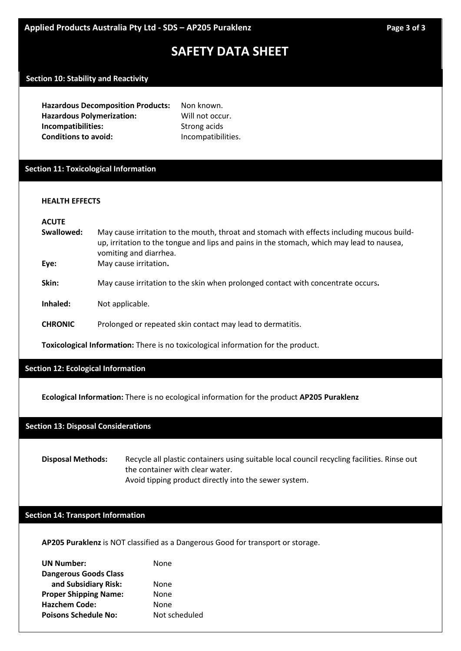# **Stability:** Stable under normal conditions of use. **Section 10: Stability and Reactivity**

| <b>Hazardous Decomposition Products:</b> | Non known.         |
|------------------------------------------|--------------------|
| <b>Hazardous Polymerization:</b>         | Will not occur.    |
| Incompatibilities:                       | Strong acids       |
| <b>Conditions to avoid:</b>              | Incompatibilities. |

## **Section 11: Toxicological Information**

### **HEALTH EFFECTS**

#### **ACUTE**

- **Swallowed:** May cause irritation to the mouth, throat and stomach with effects including mucous buildup, irritation to the tongue and lips and pains in the stomach, which may lead to nausea, vomiting and diarrhea. **Eye:** May cause irritation**.**
- **Skin:** May cause irritation to the skin when prolonged contact with concentrate occurs**.**
- **Inhaled:** Not applicable.
- **CHRONIC** Prolonged or repeated skin contact may lead to dermatitis.

**Toxicological Information:** There is no toxicological information for the product.

# **Section 12: Ecological Information**

**Ecological Information:** There is no ecological information for the product **AP205 Puraklenz**

### **Section 13: Disposal Considerations**

**Disposal Methods:** Recycle all plastic containers using suitable local council recycling facilities. Rinse out the container with clear water. Avoid tipping product directly into the sewer system.

## **Section 14: Transport Information**

**AP205 Puraklenz** is NOT classified as a Dangerous Good for transport or storage.

| <b>UN Number:</b>            | None          |  |
|------------------------------|---------------|--|
| <b>Dangerous Goods Class</b> |               |  |
| and Subsidiary Risk:         | None          |  |
| <b>Proper Shipping Name:</b> | None          |  |
| <b>Hazchem Code:</b>         | None          |  |
| <b>Poisons Schedule No:</b>  | Not scheduled |  |
|                              |               |  |